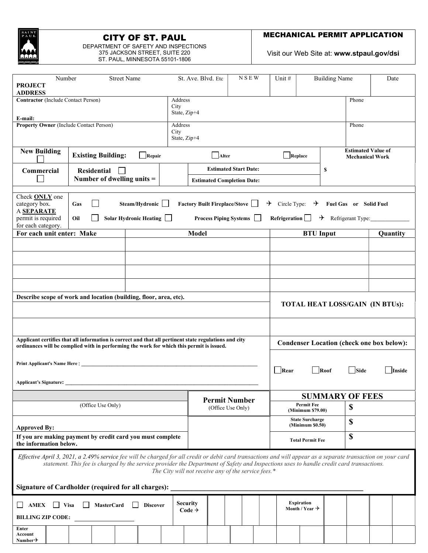

# CITY OF ST. PAUL

MECHANICAL PERMIT APPLICATION

DEPARTMENT OF SAFETY AND INSPECTIONS 375 JACKSON STREET, SUITE 220 ST. PAUL, MINNESOTA 55101-1806

Visit our Web Site at: www.stpaul.gov/dsi

| <b>Street Name</b><br>Number<br><b>PROJECT</b>                                                                                                                                                                                                                                                                                                                                                                          |      |                                                  |  |               | St. Ave. Blvd. Etc |                                                                   |                   | NSEW<br>Unit # |       | <b>Building Name</b>                                |                                                 | Date                                       |                                                     |          |  |  |
|-------------------------------------------------------------------------------------------------------------------------------------------------------------------------------------------------------------------------------------------------------------------------------------------------------------------------------------------------------------------------------------------------------------------------|------|--------------------------------------------------|--|---------------|--------------------|-------------------------------------------------------------------|-------------------|----------------|-------|-----------------------------------------------------|-------------------------------------------------|--------------------------------------------|-----------------------------------------------------|----------|--|--|
| <b>ADDRESS</b><br><b>Contractor</b> (Include Contact Person)                                                                                                                                                                                                                                                                                                                                                            | City | Address<br>State, Zip+4                          |  |               |                    |                                                                   |                   |                | Phone |                                                     |                                                 |                                            |                                                     |          |  |  |
| E-mail:<br><b>Property Owner (Include Contact Person)</b>                                                                                                                                                                                                                                                                                                                                                               | City | Address<br>State, Zip+4                          |  |               |                    |                                                                   |                   |                | Phone |                                                     |                                                 |                                            |                                                     |          |  |  |
| <b>New Building</b>                                                                                                                                                                                                                                                                                                                                                                                                     |      | <b>Existing Building:</b>                        |  | $\Box$ Repair |                    | $\Box$ Alter                                                      |                   |                |       | $\Box$ Replace                                      |                                                 |                                            | <b>Estimated Value of</b><br><b>Mechanical Work</b> |          |  |  |
| Commercial                                                                                                                                                                                                                                                                                                                                                                                                              |      | <b>Residential</b><br>Number of dwelling units = |  |               |                    | <b>Estimated Start Date:</b><br><b>Estimated Completion Date:</b> |                   |                |       | \$                                                  |                                                 |                                            |                                                     |          |  |  |
| Check <b>ONLY</b> one<br>Steam/Hydronic<br><b>Factory Built Fireplace/Stove</b><br>$\rightarrow$ Circle Type:<br>$\rightarrow$ Fuel Gas or Solid Fuel<br>category box.<br>Gas<br>A <b>SEPARATE</b><br>Solar Hydronic Heating<br>Refrigeration<br>$\rightarrow$ Refrigerant Type:<br>permit is required<br>Oil<br><b>Process Piping Systems</b><br>for each category.                                                    |      |                                                  |  |               |                    |                                                                   |                   |                |       |                                                     |                                                 |                                            |                                                     |          |  |  |
| For each unit enter: Make                                                                                                                                                                                                                                                                                                                                                                                               |      |                                                  |  |               |                    | <b>Model</b>                                                      |                   |                |       | <b>BTU Input</b>                                    |                                                 |                                            |                                                     | Quantity |  |  |
|                                                                                                                                                                                                                                                                                                                                                                                                                         |      |                                                  |  |               |                    |                                                                   |                   |                |       |                                                     |                                                 |                                            |                                                     |          |  |  |
|                                                                                                                                                                                                                                                                                                                                                                                                                         |      |                                                  |  |               |                    |                                                                   |                   |                |       |                                                     |                                                 |                                            |                                                     |          |  |  |
|                                                                                                                                                                                                                                                                                                                                                                                                                         |      |                                                  |  |               |                    |                                                                   |                   |                |       |                                                     |                                                 |                                            |                                                     |          |  |  |
| Describe scope of work and location (building, floor, area, etc).                                                                                                                                                                                                                                                                                                                                                       |      |                                                  |  |               |                    |                                                                   |                   |                |       | TOTAL HEAT LOSS/GAIN (IN BTUs):                     |                                                 |                                            |                                                     |          |  |  |
|                                                                                                                                                                                                                                                                                                                                                                                                                         |      |                                                  |  |               |                    |                                                                   |                   |                |       |                                                     |                                                 |                                            |                                                     |          |  |  |
| Applicant certifies that all information is correct and that all pertinent state regulations and city<br>ordinances will be complied with in performing the work for which this permit is issued.                                                                                                                                                                                                                       |      |                                                  |  |               |                    |                                                                   |                   |                |       | <b>Condenser Location (check one box below):</b>    |                                                 |                                            |                                                     |          |  |  |
| <b>Print Applicant's Name Here:</b><br><b>Applicant's Signature:</b>                                                                                                                                                                                                                                                                                                                                                    |      |                                                  |  |               |                    |                                                                   |                   |                |       | Rear<br>$\Box$ Roof<br>$\Box$ Side<br><b>Inside</b> |                                                 |                                            |                                                     |          |  |  |
| <b>Permit Number</b>                                                                                                                                                                                                                                                                                                                                                                                                    |      |                                                  |  |               |                    |                                                                   |                   |                |       | <b>SUMMARY OF FEES</b>                              |                                                 |                                            |                                                     |          |  |  |
| (Office Use Only)                                                                                                                                                                                                                                                                                                                                                                                                       |      |                                                  |  |               |                    |                                                                   | (Office Use Only) |                |       |                                                     | <b>Permit Fee</b><br>(Minimum \$79.00)          |                                            |                                                     | \$       |  |  |
| <b>Approved By:</b>                                                                                                                                                                                                                                                                                                                                                                                                     |      |                                                  |  |               |                    |                                                                   |                   |                |       |                                                     |                                                 | <b>State Surcharge</b><br>(Minimum \$0.50) |                                                     | \$       |  |  |
| If you are making payment by credit card you must complete<br>the information below.                                                                                                                                                                                                                                                                                                                                    |      |                                                  |  |               |                    |                                                                   |                   |                |       | \$<br><b>Total Permit Fee</b>                       |                                                 |                                            |                                                     |          |  |  |
| Effective April 3, 2021, a 2.49% service fee will be charged for all credit or debit card transactions and will appear as a separate transaction on your card<br>statement. This fee is charged by the service provider the Department of Safety and Inspections uses to handle credit card transactions.<br>The City will not receive any of the service fees.*<br>Signature of Cardholder (required for all charges): |      |                                                  |  |               |                    |                                                                   |                   |                |       |                                                     |                                                 |                                            |                                                     |          |  |  |
| <b>Security</b><br><b>MasterCard</b><br>AMEX Visa<br><b>Discover</b><br>Code $\rightarrow$<br><b>BILLING ZIP CODE:</b>                                                                                                                                                                                                                                                                                                  |      |                                                  |  |               |                    |                                                                   |                   |                |       |                                                     | <b>Expiration</b><br>Month / Year $\rightarrow$ |                                            |                                                     |          |  |  |
| Enter<br>Account<br>Numberナ                                                                                                                                                                                                                                                                                                                                                                                             |      |                                                  |  |               |                    |                                                                   |                   |                |       |                                                     |                                                 |                                            |                                                     |          |  |  |